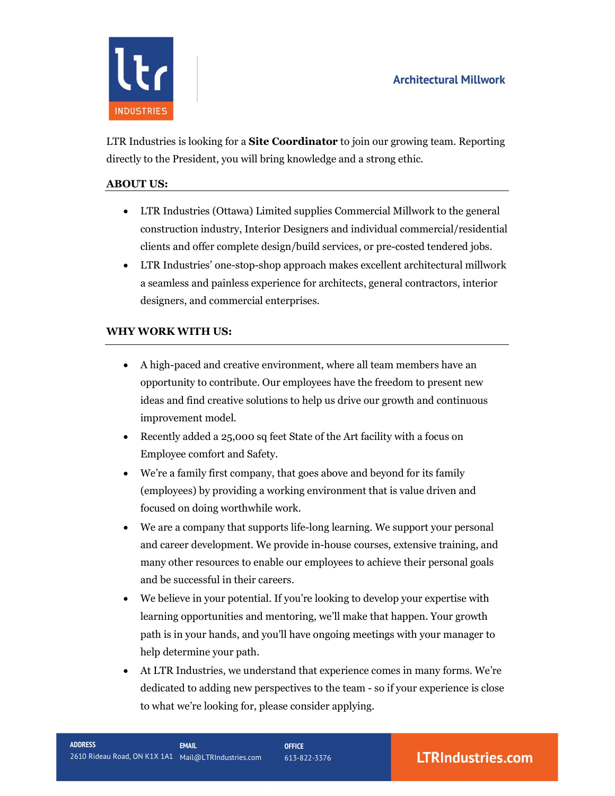

LTR Industries is looking for a **Site Coordinator** to join our growing team. Reporting directly to the President, you will bring knowledge and a strong ethic.

## ABOUT US:

- LTR Industries (Ottawa) Limited supplies Commercial Millwork to the general construction industry, Interior Designers and individual commercial/residential clients and offer complete design/build services, or pre-costed tendered jobs.
- LTR Industries' one-stop-shop approach makes excellent architectural millwork a seamless and painless experience for architects, general contractors, interior designers, and commercial enterprises.

# WHY WORK WITH US:

- A high-paced and creative environment, where all team members have an opportunity to contribute. Our employees have the freedom to present new ideas and find creative solutions to help us drive our growth and continuous improvement model.
- Recently added a 25,000 sq feet State of the Art facility with a focus on Employee comfort and Safety.
- We're a family first company, that goes above and beyond for its family (employees) by providing a working environment that is value driven and focused on doing worthwhile work.
- We are a company that supports life-long learning. We support your personal and career development. We provide in-house courses, extensive training, and many other resources to enable our employees to achieve their personal goals and be successful in their careers.
- We believe in your potential. If you're looking to develop your expertise with learning opportunities and mentoring, we'll make that happen. Your growth path is in your hands, and you'll have ongoing meetings with your manager to help determine your path.
- At LTR Industries, we understand that experience comes in many forms. We're dedicated to adding new perspectives to the team - so if your experience is close to what we're looking for, please consider applying.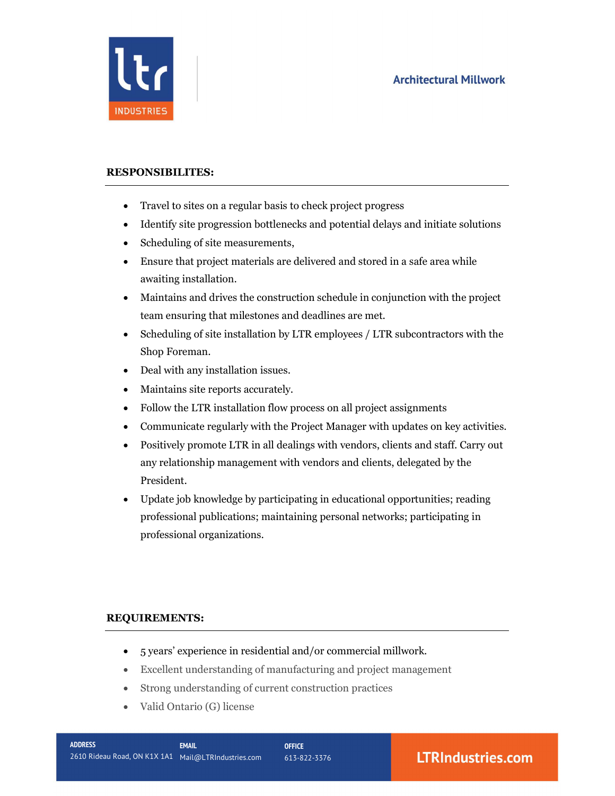

### RESPONSIBILITES:

- Travel to sites on a regular basis to check project progress
- Identify site progression bottlenecks and potential delays and initiate solutions
- Scheduling of site measurements,
- Ensure that project materials are delivered and stored in a safe area while awaiting installation.
- Maintains and drives the construction schedule in conjunction with the project team ensuring that milestones and deadlines are met.
- Scheduling of site installation by LTR employees / LTR subcontractors with the Shop Foreman.
- Deal with any installation issues.
- Maintains site reports accurately.
- Follow the LTR installation flow process on all project assignments
- Communicate regularly with the Project Manager with updates on key activities.
- Positively promote LTR in all dealings with vendors, clients and staff. Carry out any relationship management with vendors and clients, delegated by the President.
- Update job knowledge by participating in educational opportunities; reading professional publications; maintaining personal networks; participating in professional organizations.

### REQUIREMENTS:

- 5 years' experience in residential and/or commercial millwork.
- Excellent understanding of manufacturing and project management
- Strong understanding of current construction practices
- Valid Ontario (G) license

# **LTRIndustries.com**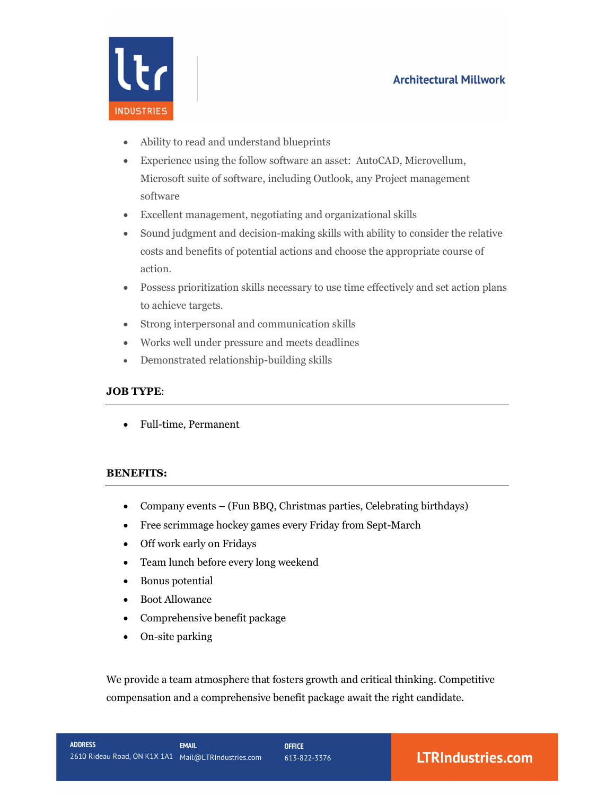# **Architectural Millwork**



- Ability to read and understand blueprints
- Experience using the follow software an asset: AutoCAD, Microvellum, Microsoft suite of software, including Outlook, any Project management software
- Excellent management, negotiating and organizational skills
- Sound judgment and decision-making skills with ability to consider the relative costs and benefits of potential actions and choose the appropriate course of action.
- Possess prioritization skills necessary to use time effectively and set action plans to achieve targets.
- Strong interpersonal and communication skills
- Works well under pressure and meets deadlines
- Demonstrated relationship-building skills

#### JOB TYPE:

Full-time, Permanent

### BENEFITS:

- Company events (Fun BBQ, Christmas parties, Celebrating birthdays)
- Free scrimmage hockey games every Friday from Sept-March
- Off work early on Fridays
- Team lunch before every long weekend
- Bonus potential
- Boot Allowance
- Comprehensive benefit package
- On-site parking

We provide a team atmosphere that fosters growth and critical thinking. Competitive compensation and a comprehensive benefit package await the right candidate.